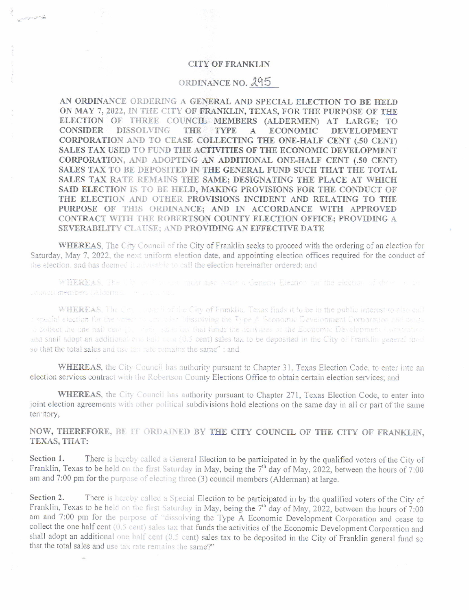## **CITY OF FRANKLIN**

## ORDINANCE NO. 295

AN ORDINANCE ORDERING A GENERAL AND SPECIAL ELECTION TO BE HELD ON MAY 7, 2022, IN THE CITY OF FRANKLIN, TEXAS, FOR THE PURPOSE OF THE ELECTION OF THREE COUNCIL MEMBERS (ALDERMEN) AT LARGE; TO CONSIDER **DISSOLVING** THE TYPE  $\mathbf{A}$ **ECONOMIC DEVELOPMENT** CORPORATION AND TO CEASE COLLECTING THE ONE-HALF CENT (.50 CENT) SALES TAX USED TO FUND THE ACTIVITIES OF THE ECONOMIC DEVELOPMENT CORPORATION, AND ADOPTING AN ADDITIONAL ONE-HALF CENT (.50 CENT) SALES TAX TO BE DEPOSITED IN THE GENERAL FUND SUCH THAT THE TOTAL SALES TAX RATE REMAINS THE SAME; DESIGNATING THE PLACE AT WHICH SAID ELECTION IS TO BE HELD, MAKING PROVISIONS FOR THE CONDUCT OF THE ELECTION AND OTHER PROVISIONS INCIDENT AND RELATING TO THE PURPOSE OF THIS ORDINANCE; AND IN ACCORDANCE WITH APPROVED CONTRACT WITH THE ROBERTSON COUNTY ELECTION OFFICE; PROVIDING A SEVERABILITY CLAUSE; AND PROVIDING AN EFFECTIVE DATE

WHEREAS, The City Council of the City of Franklin seeks to proceed with the ordering of an election for Saturday, May 7, 2022, the next uniform election date, and appointing election offices required for the conduct of the efection, and has deemed it advisable to call the election hereinafter ordered; and

WHEREAS. The UN or Figures must also below a created Election for the election of the Figures caineri members (Aldorman - Palacha and

WHEREAS, The Connectival the City of Franklin. Texas finds it to be in the public interest to also call a special election for the voter assessment blissolving the Type A Boonomic Development Corporation and bense to collect the one nail cent (b) when sales tax that funds the activities of the Economic Development (construct and shall adopt an additional can hall cant (0.5 cent) sales tax to be deposited in the City of Franklin general fund so that the total sales and use tax rate remains the same" ; and

WHEREAS, the City Council has authority pursuant to Chapter 31, Texas Election Code, to enter into an election services contract with the Robertson County Elections Office to obtain certain election services; and

WHEREAS, the City Council has authority pursuant to Chapter 271, Texas Election Code, to enter into joint election agreements with other political subdivisions hold elections on the same day in all or part of the same territory,

NOW, THEREFORE, BE IT ORDAINED BY THE CITY COUNCIL OF THE CITY OF FRANKLIN. TEXAS, THAT:

There is hereby called a General Election to be participated in by the qualified voters of the City of Section 1. Franklin, Texas to be held on the first Saturday in May, being the  $7<sup>th</sup>$  day of May, 2022, between the hours of 7:00 am and 7:00 pm for the purpose of electing three (3) council members (Alderman) at large.

Section 2. There is hereby called a Special Election to be participated in by the qualified voters of the City of Franklin, Texas to be held on the first Saturday in May, being the 7<sup>th</sup> day of May, 2022, between the hours of 7:00 am and 7:00 pm for the purpose of "dissolving the Type A Economic Development Corporation and cease to collect the one half cent (0.5 cent) sales tax that funds the activities of the Economic Development Corporation and shall adopt an additional one half cent (0.5 cent) sales tax to be deposited in the City of Franklin general fund so that the total sales and use tax rate remains the same?"